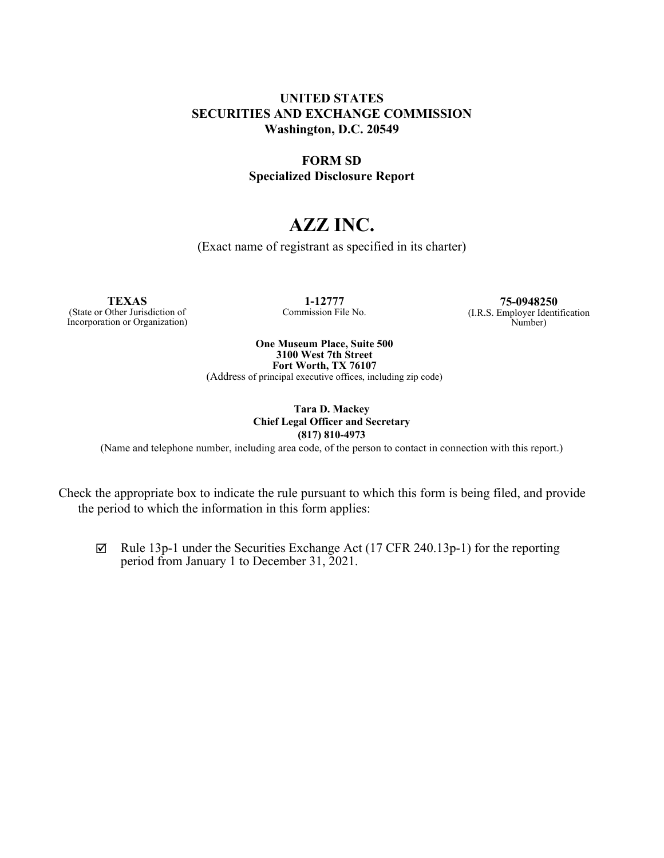## **UNITED STATES SECURITIES AND EXCHANGE COMMISSION Washington, D.C. 20549**

## **FORM SD Specialized Disclosure Report**

# **AZZ INC.**

(Exact name of registrant as specified in its charter)

**TEXAS**

(State or Other Jurisdiction of Incorporation or Organization)

**1-12777** Commission File No.

**75-0948250** (I.R.S. Employer Identification Number)

**One Museum Place, Suite 500 3100 West 7th Street Fort Worth, TX 76107**

(Address of principal executive offices, including zip code)

**Tara D. Mackey Chief Legal Officer and Secretary (817) 810-4973**

(Name and telephone number, including area code, of the person to contact in connection with this report.)

Check the appropriate box to indicate the rule pursuant to which this form is being filed, and provide the period to which the information in this form applies:

 $\boxtimes$  Rule 13p-1 under the Securities Exchange Act (17 CFR 240.13p-1) for the reporting period from January 1 to December 31, 2021.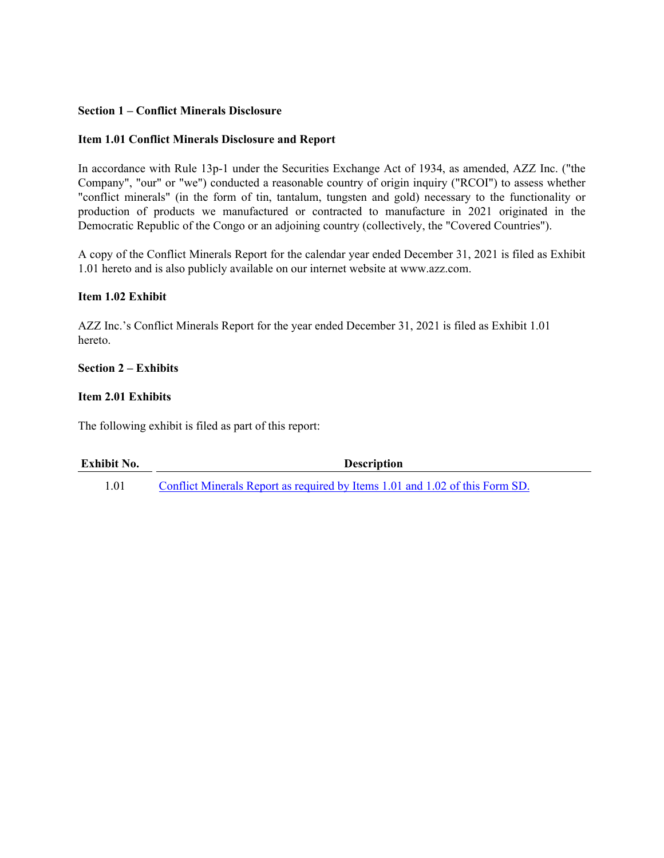#### **Section 1 – Conflict Minerals Disclosure**

#### **Item 1.01 Conflict Minerals Disclosure and Report**

In accordance with Rule 13p-1 under the Securities Exchange Act of 1934, as amended, AZZ Inc. ("the Company", "our" or "we") conducted a reasonable country of origin inquiry ("RCOI") to assess whether "conflict minerals" (in the form of tin, tantalum, tungsten and gold) necessary to the functionality or production of products we manufactured or contracted to manufacture in 2021 originated in the Democratic Republic of the Congo or an adjoining country (collectively, the "Covered Countries").

A copy of the Conflict Minerals Report for the calendar year ended December 31, 2021 is filed as Exhibit 1.01 hereto and is also publicly available on our internet website at www.azz.com.

#### **Item 1.02 Exhibit**

AZZ Inc.'s Conflict Minerals Report for the year ended December 31, 2021 is filed as Exhibit 1.01 hereto.

#### **Section 2 – Exhibits**

#### **Item 2.01 Exhibits**

The following exhibit is filed as part of this report:

| Exhibit No. | <b>Description</b>                                                           |
|-------------|------------------------------------------------------------------------------|
| 1.01        | Conflict Minerals Report as required by Items 1.01 and 1.02 of this Form SD. |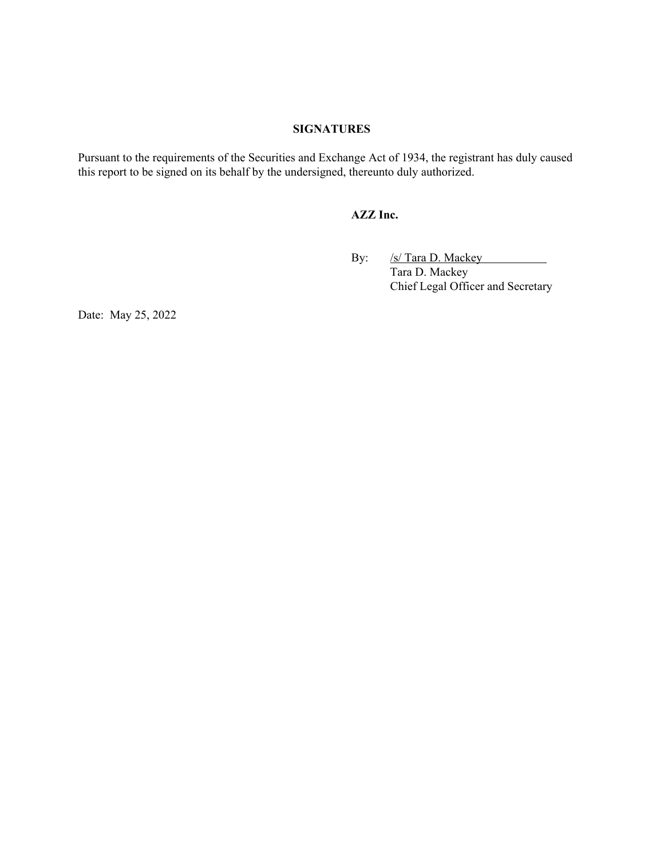#### **SIGNATURES**

Pursuant to the requirements of the Securities and Exchange Act of 1934, the registrant has duly caused this report to be signed on its behalf by the undersigned, thereunto duly authorized.

#### **AZZ Inc.**

By: /s/ Tara D. Mackey Tara D. Mackey Chief Legal Officer and Secretary

Date: May 25, 2022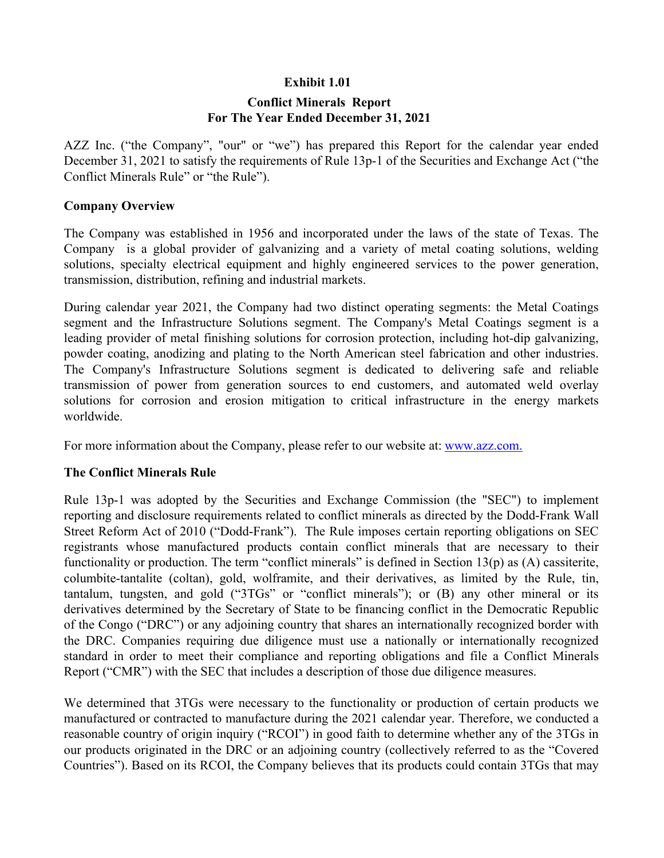## **Exhibit 1.01**

# **Conflict Minerals Report For The Year Ended December 31, 2021**

AZZ Inc. ("the Company", "our" or "we") has prepared this Report for the calendar year ended December 31, 2021 to satisfy the requirements of Rule 13p-1 of the Securities and Exchange Act ("the Conflict Minerals Rule" or "the Rule").

## **Company Overview**

The Company was established in 1956 and incorporated under the laws of the state of Texas. The Company is a global provider of galvanizing and a variety of metal coating solutions, welding solutions, specialty electrical equipment and highly engineered services to the power generation, transmission, distribution, refining and industrial markets.

During calendar year 2021, the Company had two distinct operating segments: the Metal Coatings segment and the Infrastructure Solutions segment. The Company's Metal Coatings segment is a leading provider of metal finishing solutions for corrosion protection, including hot-dip galvanizing, powder coating, anodizing and plating to the North American steel fabrication and other industries. The Company's Infrastructure Solutions segment is dedicated to delivering safe and reliable transmission of power from generation sources to end customers, and automated weld overlay solutions for corrosion and erosion mitigation to critical infrastructure in the energy markets worldwide.

For more information about the Company, please refer to our website at: **www.azz.com.** 

# **The Conflict Minerals Rule**

Rule 13p-1 was adopted by the Securities and Exchange Commission (the "SEC") to implement reporting and disclosure requirements related to conflict minerals as directed by the Dodd-Frank Wall Street Reform Act of 2010 ("Dodd-Frank"). The Rule imposes certain reporting obligations on SEC registrants whose manufactured products contain conflict minerals that are necessary to their functionality or production. The term "conflict minerals" is defined in Section 13(p) as (A) cassiterite, columbite-tantalite (coltan), gold, wolframite, and their derivatives, as limited by the Rule, tin, tantalum, tungsten, and gold ("3TGs" or "conflict minerals"); or (B) any other mineral or its derivatives determined by the Secretary of State to be financing conflict in the Democratic Republic of the Congo ("DRC") or any adjoining country that shares an internationally recognized border with the DRC. Companies requiring due diligence must use a nationally or internationally recognized standard in order to meet their compliance and reporting obligations and file a Conflict Minerals Report ("CMR") with the SEC that includes a description of those due diligence measures.

We determined that 3TGs were necessary to the functionality or production of certain products we manufactured or contracted to manufacture during the 2021 calendar year. Therefore, we conducted a reasonable country of origin inquiry ("RCOI") in good faith to determine whether any of the 3TGs in our products originated in the DRC or an adjoining country (collectively referred to as the "Covered Countries"). Based on its RCOI, the Company believes that its products could contain 3TGs that may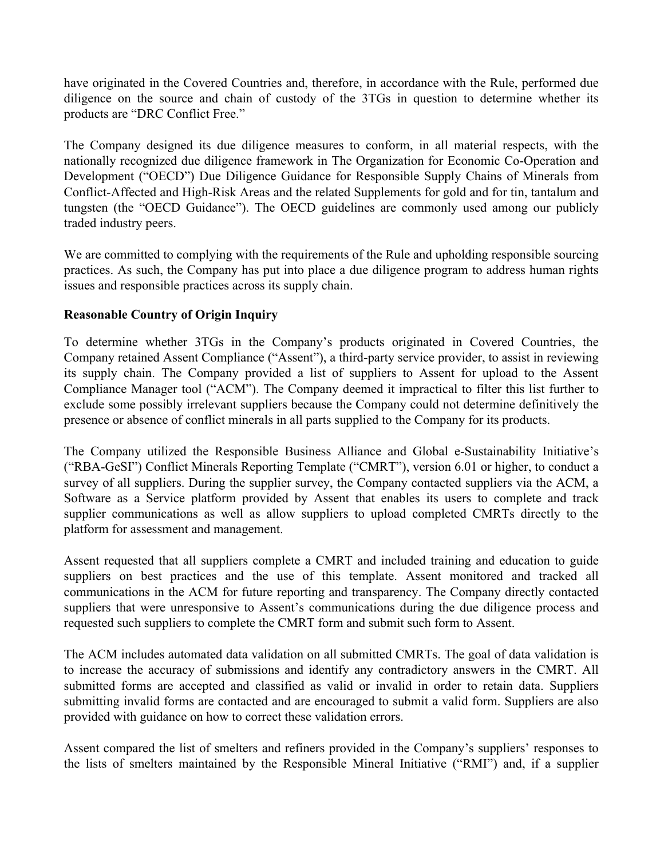have originated in the Covered Countries and, therefore, in accordance with the Rule, performed due diligence on the source and chain of custody of the 3TGs in question to determine whether its products are "DRC Conflict Free."

The Company designed its due diligence measures to conform, in all material respects, with the nationally recognized due diligence framework in The Organization for Economic Co-Operation and Development ("OECD") Due Diligence Guidance for Responsible Supply Chains of Minerals from Conflict-Affected and High-Risk Areas and the related Supplements for gold and for tin, tantalum and tungsten (the "OECD Guidance"). The OECD guidelines are commonly used among our publicly traded industry peers.

We are committed to complying with the requirements of the Rule and upholding responsible sourcing practices. As such, the Company has put into place a due diligence program to address human rights issues and responsible practices across its supply chain.

# **Reasonable Country of Origin Inquiry**

To determine whether 3TGs in the Company's products originated in Covered Countries, the Company retained Assent Compliance ("Assent"), a third-party service provider, to assist in reviewing its supply chain. The Company provided a list of suppliers to Assent for upload to the Assent Compliance Manager tool ("ACM"). The Company deemed it impractical to filter this list further to exclude some possibly irrelevant suppliers because the Company could not determine definitively the presence or absence of conflict minerals in all parts supplied to the Company for its products.

The Company utilized the Responsible Business Alliance and Global e-Sustainability Initiative's ("RBA-GeSI") Conflict Minerals Reporting Template ("CMRT"), version 6.01 or higher, to conduct a survey of all suppliers. During the supplier survey, the Company contacted suppliers via the ACM, a Software as a Service platform provided by Assent that enables its users to complete and track supplier communications as well as allow suppliers to upload completed CMRTs directly to the platform for assessment and management.

Assent requested that all suppliers complete a CMRT and included training and education to guide suppliers on best practices and the use of this template. Assent monitored and tracked all communications in the ACM for future reporting and transparency. The Company directly contacted suppliers that were unresponsive to Assent's communications during the due diligence process and requested such suppliers to complete the CMRT form and submit such form to Assent.

The ACM includes automated data validation on all submitted CMRTs. The goal of data validation is to increase the accuracy of submissions and identify any contradictory answers in the CMRT. All submitted forms are accepted and classified as valid or invalid in order to retain data. Suppliers submitting invalid forms are contacted and are encouraged to submit a valid form. Suppliers are also provided with guidance on how to correct these validation errors.

Assent compared the list of smelters and refiners provided in the Company's suppliers' responses to the lists of smelters maintained by the Responsible Mineral Initiative ("RMI") and, if a supplier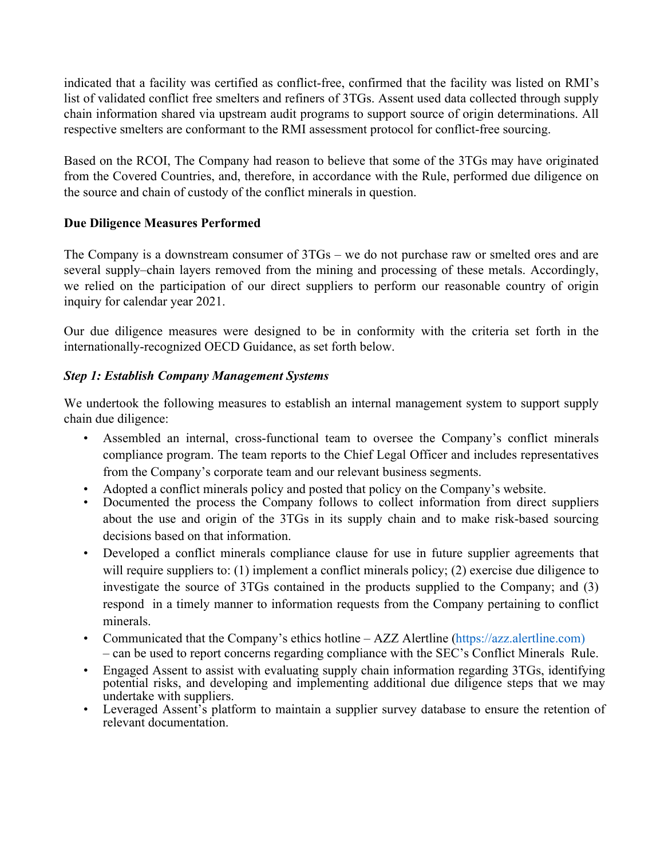indicated that a facility was certified as conflict-free, confirmed that the facility was listed on RMI's list of validated conflict free smelters and refiners of 3TGs. Assent used data collected through supply chain information shared via upstream audit programs to support source of origin determinations. All respective smelters are conformant to the RMI assessment protocol for conflict-free sourcing.

Based on the RCOI, The Company had reason to believe that some of the 3TGs may have originated from the Covered Countries, and, therefore, in accordance with the Rule, performed due diligence on the source and chain of custody of the conflict minerals in question.

# **Due Diligence Measures Performed**

The Company is a downstream consumer of 3TGs – we do not purchase raw or smelted ores and are several supply–chain layers removed from the mining and processing of these metals. Accordingly, we relied on the participation of our direct suppliers to perform our reasonable country of origin inquiry for calendar year 2021.

Our due diligence measures were designed to be in conformity with the criteria set forth in the internationally-recognized OECD Guidance, as set forth below.

# *Step 1: Establish Company Management Systems*

We undertook the following measures to establish an internal management system to support supply chain due diligence:

- Assembled an internal, cross-functional team to oversee the Company's conflict minerals compliance program. The team reports to the Chief Legal Officer and includes representatives from the Company's corporate team and our relevant business segments.
- Adopted a conflict minerals policy and posted that policy on the Company's website.
- Documented the process the Company follows to collect information from direct suppliers about the use and origin of the 3TGs in its supply chain and to make risk-based sourcing decisions based on that information.
- Developed a conflict minerals compliance clause for use in future supplier agreements that will require suppliers to: (1) implement a conflict minerals policy; (2) exercise due diligence to investigate the source of 3TGs contained in the products supplied to the Company; and (3) respond in a timely manner to information requests from the Company pertaining to conflict minerals.
- Communicated that the Company's ethics hotline AZZ Alertline (https://azz.alertline.com) – can be used to report concerns regarding compliance with the SEC's Conflict Minerals Rule.
- Engaged Assent to assist with evaluating supply chain information regarding 3TGs, identifying potential risks, and developing and implementing additional due diligence steps that we may undertake with suppliers.
- Leveraged Assent's platform to maintain a supplier survey database to ensure the retention of relevant documentation.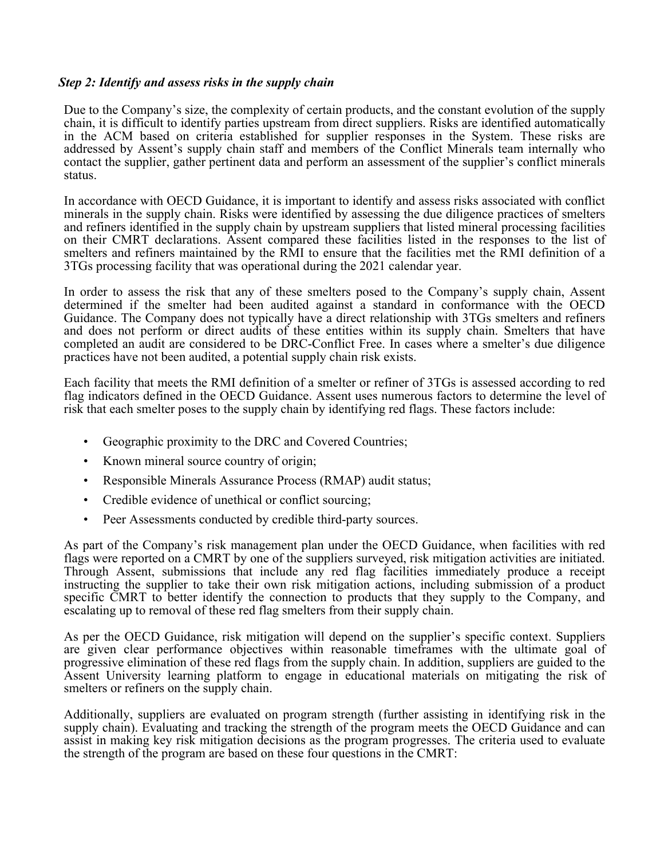#### *Step 2: Identify and assess risks in the supply chain*

Due to the Company's size, the complexity of certain products, and the constant evolution of the supply chain, it is difficult to identify parties upstream from direct suppliers. Risks are identified automatically in the ACM based on criteria established for supplier responses in the System. These risks are addressed by Assent's supply chain staff and members of the Conflict Minerals team internally who contact the supplier, gather pertinent data and perform an assessment of the supplier's conflict minerals status.

In accordance with OECD Guidance, it is important to identify and assess risks associated with conflict minerals in the supply chain. Risks were identified by assessing the due diligence practices of smelters and refiners identified in the supply chain by upstream suppliers that listed mineral processing facilities on their CMRT declarations. Assent compared these facilities listed in the responses to the list of smelters and refiners maintained by the RMI to ensure that the facilities met the RMI definition of a 3TGs processing facility that was operational during the 2021 calendar year.

In order to assess the risk that any of these smelters posed to the Company's supply chain, Assent determined if the smelter had been audited against a standard in conformance with the OECD Guidance. The Company does not typically have a direct relationship with 3TGs smelters and refiners and does not perform or direct audits of these entities within its supply chain. Smelters that have completed an audit are considered to be DRC-Conflict Free. In cases where a smelter's due diligence practices have not been audited, a potential supply chain risk exists.

Each facility that meets the RMI definition of a smelter or refiner of 3TGs is assessed according to red flag indicators defined in the OECD Guidance. Assent uses numerous factors to determine the level of risk that each smelter poses to the supply chain by identifying red flags. These factors include:

- Geographic proximity to the DRC and Covered Countries;
- Known mineral source country of origin;
- Responsible Minerals Assurance Process (RMAP) audit status;
- Credible evidence of unethical or conflict sourcing;
- Peer Assessments conducted by credible third-party sources.

As part of the Company's risk management plan under the OECD Guidance, when facilities with red flags were reported on a CMRT by one of the suppliers surveyed, risk mitigation activities are initiated. Through Assent, submissions that include any red flag facilities immediately produce a receipt instructing the supplier to take their own risk mitigation actions, including submission of a product specific CMRT to better identify the connection to products that they supply to the Company, and escalating up to removal of these red flag smelters from their supply chain.

As per the OECD Guidance, risk mitigation will depend on the supplier's specific context. Suppliers are given clear performance objectives within reasonable timeframes with the ultimate goal of progressive elimination of these red flags from the supply chain. In addition, suppliers are guided to the Assent University learning platform to engage in educational materials on mitigating the risk of smelters or refiners on the supply chain.

Additionally, suppliers are evaluated on program strength (further assisting in identifying risk in the supply chain). Evaluating and tracking the strength of the program meets the OECD Guidance and can assist in making key risk mitigation decisions as the program progresses. The criteria used to evaluate the strength of the program are based on these four questions in the CMRT: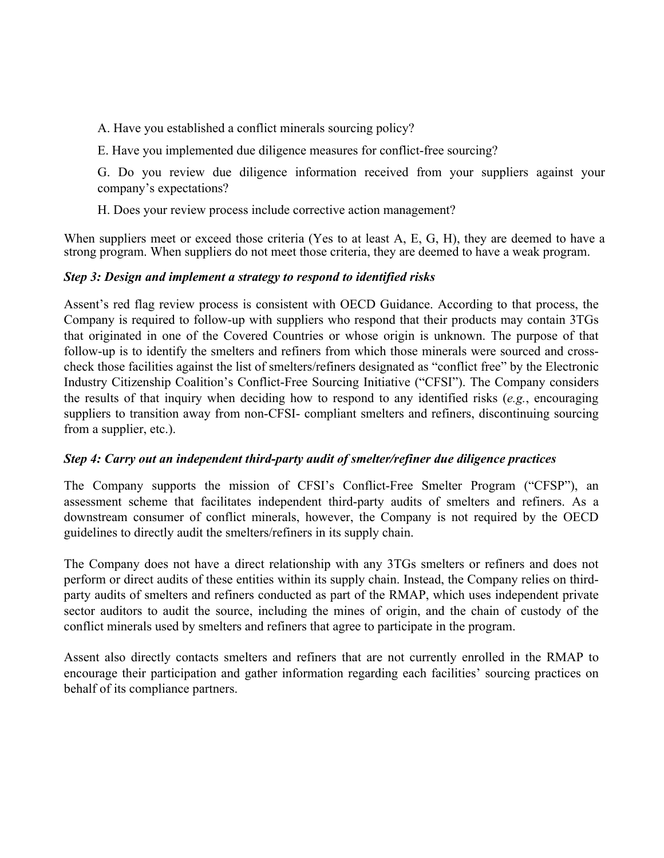A. Have you established a conflict minerals sourcing policy?

E. Have you implemented due diligence measures for conflict-free sourcing?

G. Do you review due diligence information received from your suppliers against your company's expectations?

H. Does your review process include corrective action management?

When suppliers meet or exceed those criteria (Yes to at least A, E, G, H), they are deemed to have a strong program. When suppliers do not meet those criteria, they are deemed to have a weak program.

## *Step 3: Design and implement a strategy to respond to identified risks*

Assent's red flag review process is consistent with OECD Guidance. According to that process, the Company is required to follow-up with suppliers who respond that their products may contain 3TGs that originated in one of the Covered Countries or whose origin is unknown. The purpose of that follow-up is to identify the smelters and refiners from which those minerals were sourced and crosscheck those facilities against the list of smelters/refiners designated as "conflict free" by the Electronic Industry Citizenship Coalition's Conflict-Free Sourcing Initiative ("CFSI"). The Company considers the results of that inquiry when deciding how to respond to any identified risks (*e.g.*, encouraging suppliers to transition away from non-CFSI- compliant smelters and refiners, discontinuing sourcing from a supplier, etc.).

# *Step 4: Carry out an independent third-party audit of smelter/refiner due diligence practices*

The Company supports the mission of CFSI's Conflict-Free Smelter Program ("CFSP"), an assessment scheme that facilitates independent third-party audits of smelters and refiners. As a downstream consumer of conflict minerals, however, the Company is not required by the OECD guidelines to directly audit the smelters/refiners in its supply chain.

The Company does not have a direct relationship with any 3TGs smelters or refiners and does not perform or direct audits of these entities within its supply chain. Instead, the Company relies on thirdparty audits of smelters and refiners conducted as part of the RMAP, which uses independent private sector auditors to audit the source, including the mines of origin, and the chain of custody of the conflict minerals used by smelters and refiners that agree to participate in the program.

Assent also directly contacts smelters and refiners that are not currently enrolled in the RMAP to encourage their participation and gather information regarding each facilities' sourcing practices on behalf of its compliance partners.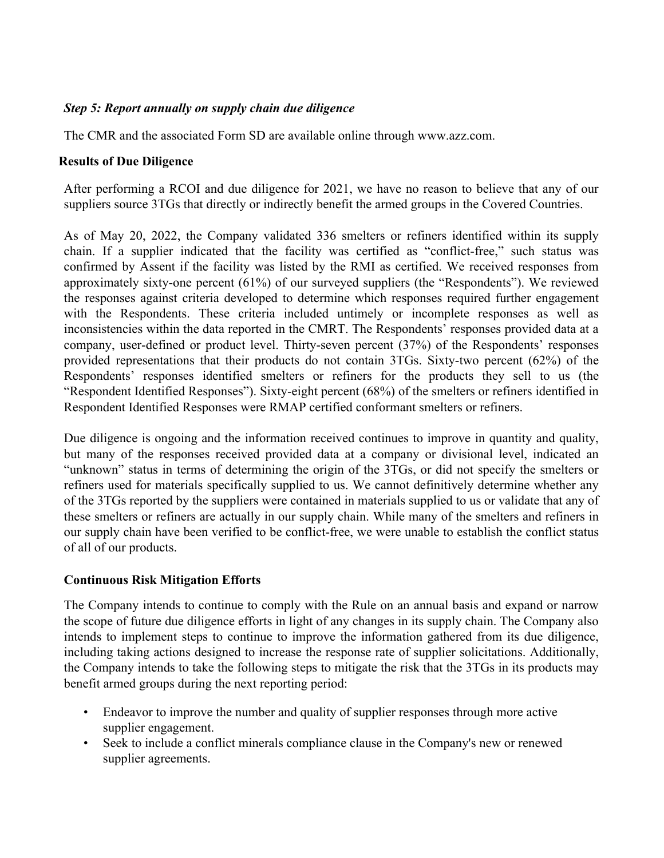# *Step 5: Report annually on supply chain due diligence*

The CMR and the associated Form SD are available online through www.azz.com.

## **Results of Due Diligence**

After performing a RCOI and due diligence for 2021, we have no reason to believe that any of our suppliers source 3TGs that directly or indirectly benefit the armed groups in the Covered Countries.

As of May 20, 2022, the Company validated 336 smelters or refiners identified within its supply chain. If a supplier indicated that the facility was certified as "conflict-free," such status was confirmed by Assent if the facility was listed by the RMI as certified. We received responses from approximately sixty-one percent (61%) of our surveyed suppliers (the "Respondents"). We reviewed the responses against criteria developed to determine which responses required further engagement with the Respondents. These criteria included untimely or incomplete responses as well as inconsistencies within the data reported in the CMRT. The Respondents' responses provided data at a company, user-defined or product level. Thirty-seven percent (37%) of the Respondents' responses provided representations that their products do not contain 3TGs. Sixty-two percent (62%) of the Respondents' responses identified smelters or refiners for the products they sell to us (the "Respondent Identified Responses"). Sixty-eight percent (68%) of the smelters or refiners identified in Respondent Identified Responses were RMAP certified conformant smelters or refiners.

Due diligence is ongoing and the information received continues to improve in quantity and quality, but many of the responses received provided data at a company or divisional level, indicated an "unknown" status in terms of determining the origin of the 3TGs, or did not specify the smelters or refiners used for materials specifically supplied to us. We cannot definitively determine whether any of the 3TGs reported by the suppliers were contained in materials supplied to us or validate that any of these smelters or refiners are actually in our supply chain. While many of the smelters and refiners in our supply chain have been verified to be conflict-free, we were unable to establish the conflict status of all of our products.

# **Continuous Risk Mitigation Efforts**

The Company intends to continue to comply with the Rule on an annual basis and expand or narrow the scope of future due diligence efforts in light of any changes in its supply chain. The Company also intends to implement steps to continue to improve the information gathered from its due diligence, including taking actions designed to increase the response rate of supplier solicitations. Additionally, the Company intends to take the following steps to mitigate the risk that the 3TGs in its products may benefit armed groups during the next reporting period:

- Endeavor to improve the number and quality of supplier responses through more active supplier engagement.
- Seek to include a conflict minerals compliance clause in the Company's new or renewed supplier agreements.